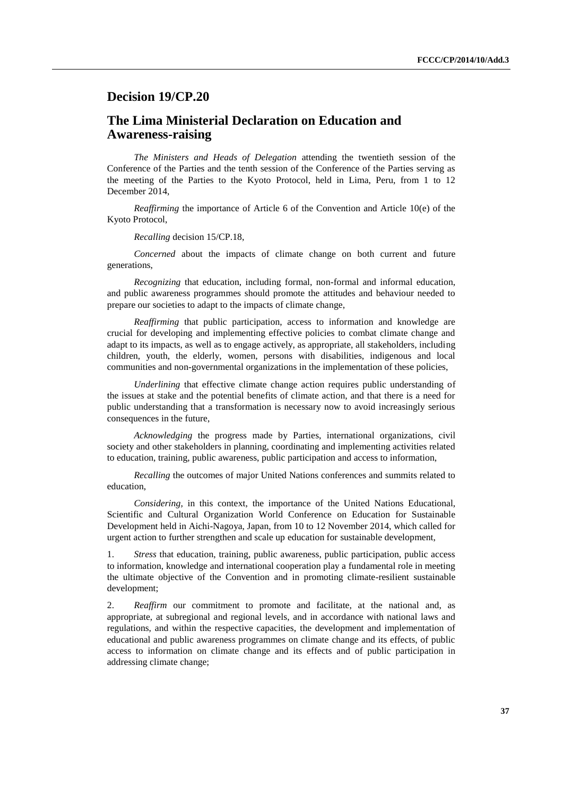## **Decision 19/CP.20**

## **The Lima Ministerial Declaration on Education and Awareness-raising**

*The Ministers and Heads of Delegation* attending the twentieth session of the Conference of the Parties and the tenth session of the Conference of the Parties serving as the meeting of the Parties to the Kyoto Protocol, held in Lima, Peru, from 1 to 12 December 2014,

*Reaffirming* the importance of Article 6 of the Convention and Article 10(e) of the Kyoto Protocol,

*Recalling* decision 15/CP.18,

*Concerned* about the impacts of climate change on both current and future generations,

*Recognizing* that education, including formal, non-formal and informal education, and public awareness programmes should promote the attitudes and behaviour needed to prepare our societies to adapt to the impacts of climate change,

*Reaffirming* that public participation, access to information and knowledge are crucial for developing and implementing effective policies to combat climate change and adapt to its impacts, as well as to engage actively, as appropriate, all stakeholders, including children, youth, the elderly, women, persons with disabilities, indigenous and local communities and non-governmental organizations in the implementation of these policies,

*Underlining* that effective climate change action requires public understanding of the issues at stake and the potential benefits of climate action, and that there is a need for public understanding that a transformation is necessary now to avoid increasingly serious consequences in the future,

*Acknowledging* the progress made by Parties, international organizations, civil society and other stakeholders in planning, coordinating and implementing activities related to education, training, public awareness, public participation and access to information,

*Recalling* the outcomes of major United Nations conferences and summits related to education,

*Considering,* in this context, the importance of the United Nations Educational, Scientific and Cultural Organization World Conference on Education for Sustainable Development held in Aichi-Nagoya, Japan, from 10 to 12 November 2014, which called for urgent action to further strengthen and scale up education for sustainable development,

1. *Stress* that education, training, public awareness, public participation, public access to information, knowledge and international cooperation play a fundamental role in meeting the ultimate objective of the Convention and in promoting climate-resilient sustainable development;

2. *Reaffirm* our commitment to promote and facilitate, at the national and, as appropriate, at subregional and regional levels, and in accordance with national laws and regulations, and within the respective capacities, the development and implementation of educational and public awareness programmes on climate change and its effects, of public access to information on climate change and its effects and of public participation in addressing climate change;